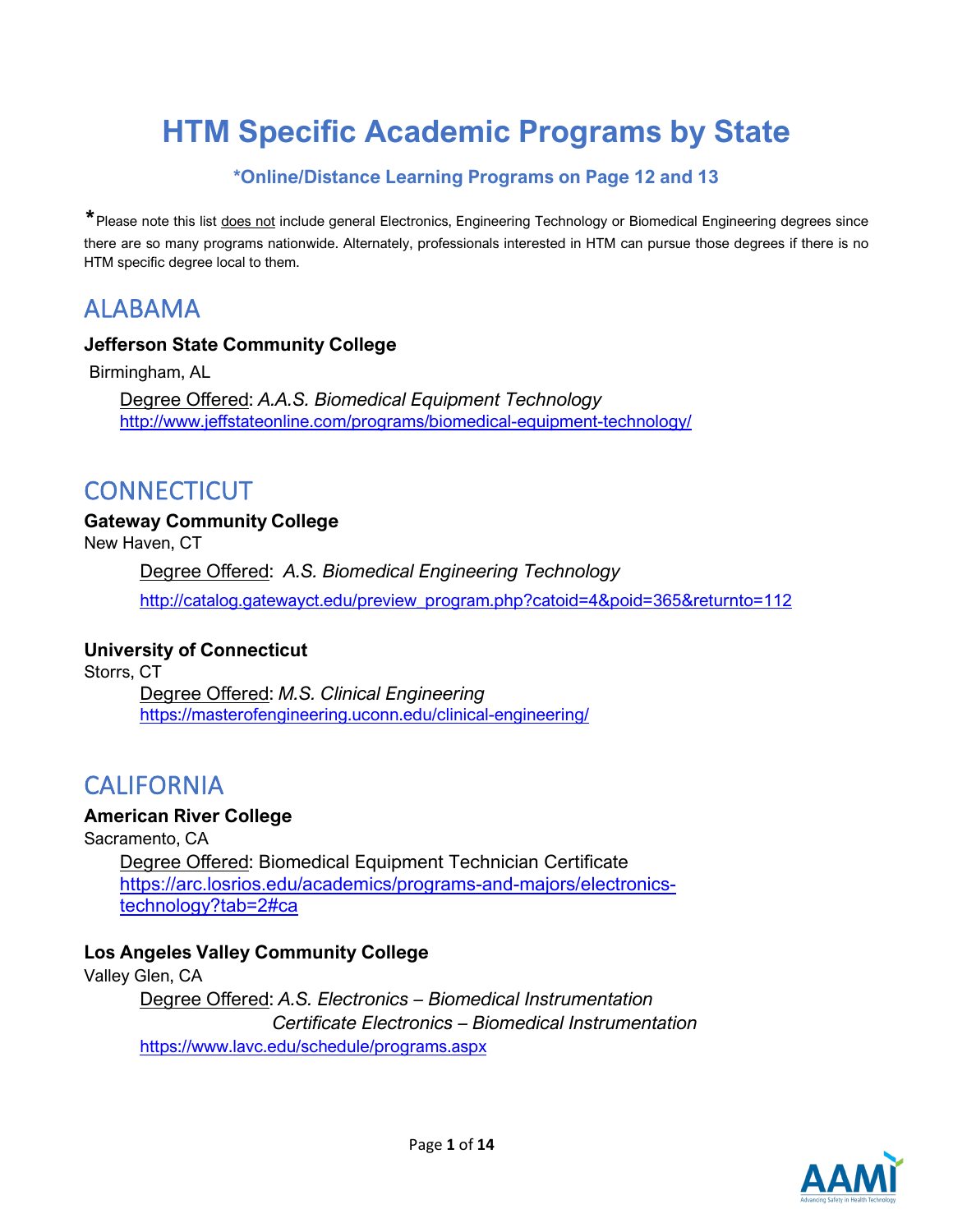# **HTM Specific Academic Programs by State**

### **\*Online/Distance Learning Programs on Page 12 and 13**

\* Please note this list does not include general Electronics, Engineering Technology or Biomedical Engineering degrees since there are so many programs nationwide. Alternately, professionals interested in HTM can pursue those degrees if there is no HTM specific degree local to them.

## ALABAMA

### **Jefferson State Community Colleg[e](http://www.jeffstateonline.com/programs/biomedical-equipment-technology/)**

Birmingham, AL

Degree Offered: *A.A.S. Biomedical Equipment Technology* <http://www.jeffstateonline.com/programs/biomedical-equipment-technology/>

## **CONNECTICUT**

### **Gateway Community College**

New Haven, CT

Degree Offered: *A.S. Biomedical Engineering Technology*

[http://catalog.gatewayct.edu/preview\\_program.php?catoid=4&poid=365&returnto=112](http://catalog.gatewayct.edu/preview_program.php?catoid=4&poid=365&returnto=112)

### **University of Connecticut**

Storrs, CT Degree Offered: *M.S. Clinical Engineering* <https://masterofengineering.uconn.edu/clinical-engineering/>

## CALIFORNIA

### **American River College**

Sacramento, CA

Degree Offered: Biomedical Equipment Technician Certificate [https://arc.losrios.edu/academics/programs-and-majors/electronics](https://arc.losrios.edu/academics/programs-and-majors/electronics-technology?tab=2#ca)[technology?tab=2#ca](https://arc.losrios.edu/academics/programs-and-majors/electronics-technology?tab=2#ca)

### **Los Angeles Valley Community College**

Valley Glen, CA

Degree Offered: *A.S. Electronics – Biomedical Instrumentation Certificate Electronics – Biomedical Instrumentation* <https://www.lavc.edu/schedule/programs.aspx>

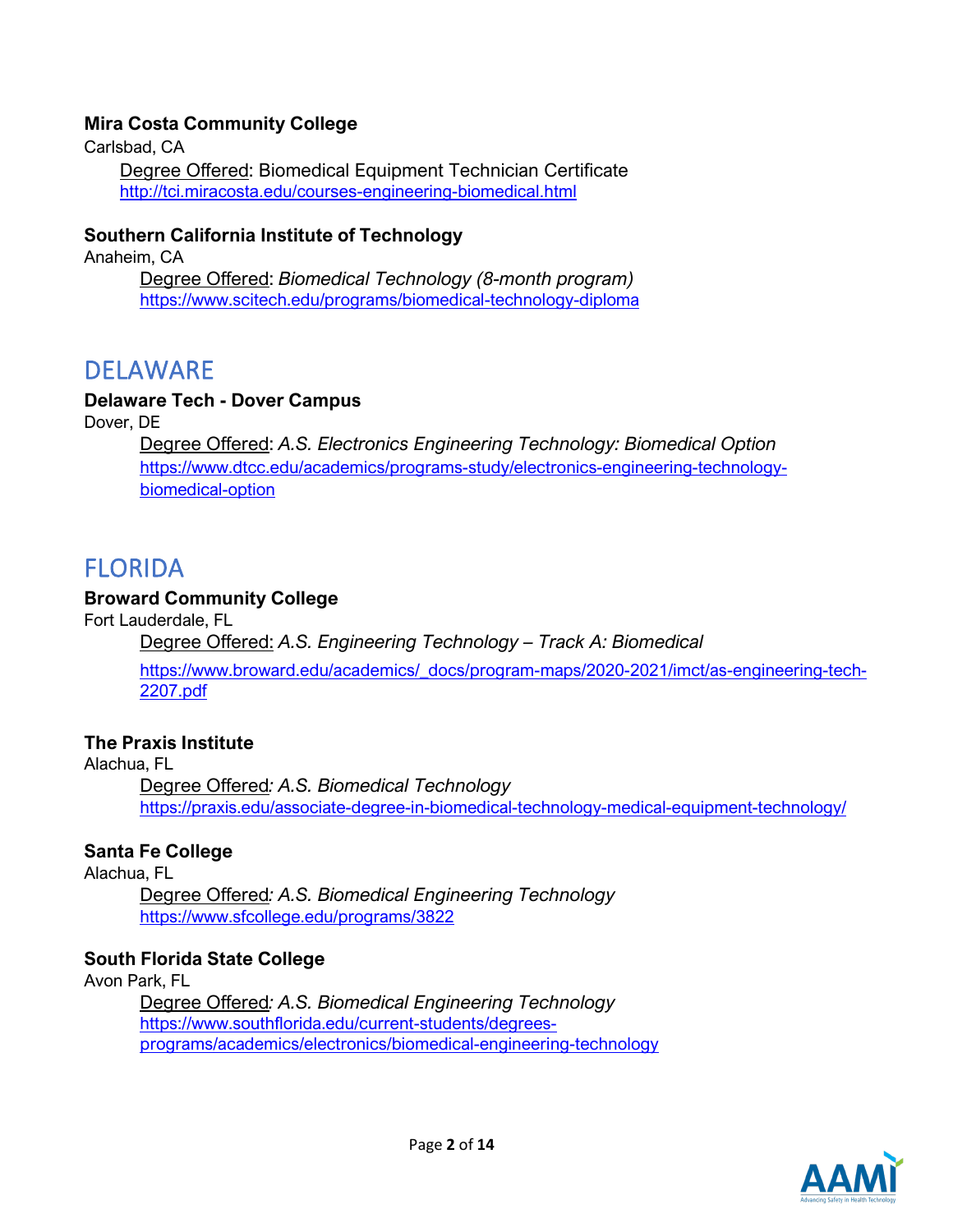### **Mira Costa Community College**

Carlsbad, CA

Degree Offered: Biomedical Equipment Technician Certificate <http://tci.miracosta.edu/courses-engineering-biomedical.html>

### **Southern California Institute of Technology**

Anaheim, CA

Degree Offered: *Biomedical Technology (8-month program)* <https://www.scitech.edu/programs/biomedical-technology-diploma>

### DELAWARE

### **Delaware Tech - Dover Campus**

Dover, DE

Degree Offered: *A.S. Electronics Engineering Technology: Biomedical Option* [https://www.dtcc.edu/academics/programs-study/electronics-engineering-technology](https://www.dtcc.edu/academics/programs-study/electronics-engineering-technology-biomedical-option)[biomedical-option](https://www.dtcc.edu/academics/programs-study/electronics-engineering-technology-biomedical-option)

## FLORIDA

### **Broward Community College**

Fort Lauderdale, FL

Degree Offered: *A.S. Engineering Technology – Track A: Biomedical* 

[https://www.broward.edu/academics/\\_docs/program-maps/2020-2021/imct/as-engineering-tech-](https://www.broward.edu/academics/_docs/program-maps/2020-2021/imct/as-engineering-tech-2207.pdf)[2207.pdf](https://www.broward.edu/academics/_docs/program-maps/2020-2021/imct/as-engineering-tech-2207.pdf)

#### **The Praxis Institute**

#### Alachua, FL

Degree Offered*: A.S. Biomedical Technology* <https://praxis.edu/associate-degree-in-biomedical-technology-medical-equipment-technology/>

### **Santa Fe College**

Alachua, FL

Degree Offered*: A.S. Biomedical Engineering Technology* <https://www.sfcollege.edu/programs/3822>

#### **South Florida State College**

Avon Park, FL

Degree Offered*: A.S. Biomedical Engineering Technology* [https://www.southflorida.edu/current-students/degrees](https://www.southflorida.edu/current-students/degrees-programs/academics/electronics/biomedical-engineering-technology)[programs/academics/electronics/biomedical-engineering-technology](https://www.southflorida.edu/current-students/degrees-programs/academics/electronics/biomedical-engineering-technology)

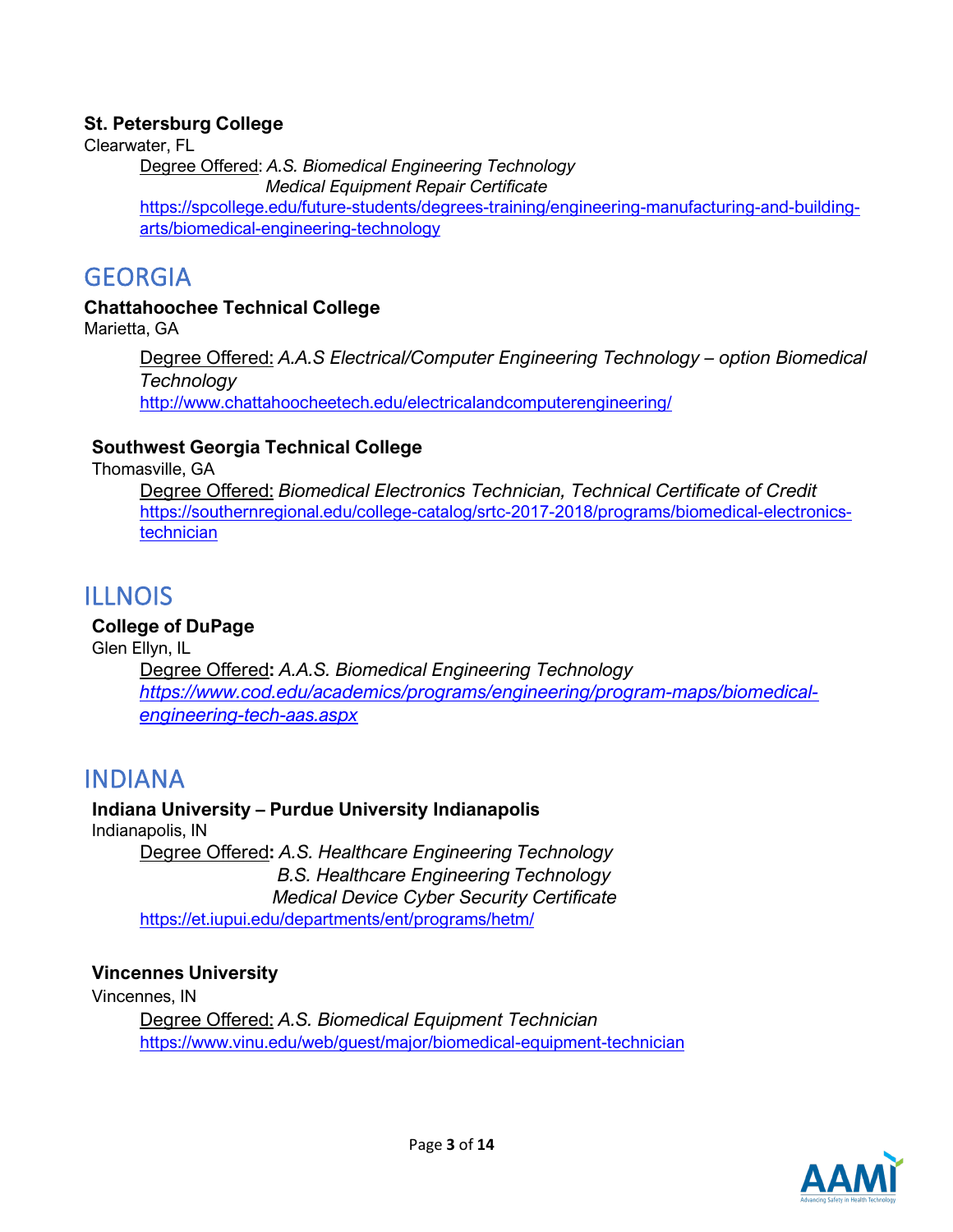### **St. Petersburg College**

Clearwater, FL

Degree Offered: *A.S. Biomedical Engineering Technology*

 *Medical Equipment Repair Certificate*

[https://spcollege.edu/future-students/degrees-training/engineering-manufacturing-and-building](https://spcollege.edu/future-students/degrees-training/engineering-manufacturing-and-building-arts/biomedical-engineering-technology)[arts/biomedical-engineering-technology](https://spcollege.edu/future-students/degrees-training/engineering-manufacturing-and-building-arts/biomedical-engineering-technology)

## GEORGIA

### **Chattahoochee Technical College**

Marietta, GA

Degree Offered: *A.A.S Electrical/Computer Engineering Technology – option Biomedical Technology* <http://www.chattahoocheetech.edu/electricalandcomputerengineering/>

### **Southwest Georgia Technical College**

Thomasville, GA

Degree Offered: *Biomedical Electronics Technician, Technical Certificate of Credit* [https://southernregional.edu/college-catalog/srtc-2017-2018/programs/biomedical-electronics](https://southernregional.edu/college-catalog/srtc-2017-2018/programs/biomedical-electronics-technician)[technician](https://southernregional.edu/college-catalog/srtc-2017-2018/programs/biomedical-electronics-technician)

## ILLNOIS

### **College of DuPage**

Glen Ellyn, IL

Degree Offered**:** *A.A.S. Biomedical Engineering Technology [https://www.cod.edu/academics/programs/engineering/program-maps/biomedical](https://www.cod.edu/academics/programs/engineering/program-maps/biomedical-engineering-tech-aas.aspx)[engineering-tech-aas.aspx](https://www.cod.edu/academics/programs/engineering/program-maps/biomedical-engineering-tech-aas.aspx)*

### INDIANA

#### **Indiana University – Purdue University Indianapolis** Indianapolis, IN

Degree Offered**:** *A.S. Healthcare Engineering Technology B.S. Healthcare Engineering Technology Medical Device Cyber Security Certificate* <https://et.iupui.edu/departments/ent/programs/hetm/>

### **Vincennes University**

Vincennes, IN

Degree Offered: *A.S. Biomedical Equipment Technician* <https://www.vinu.edu/web/guest/major/biomedical-equipment-technician>

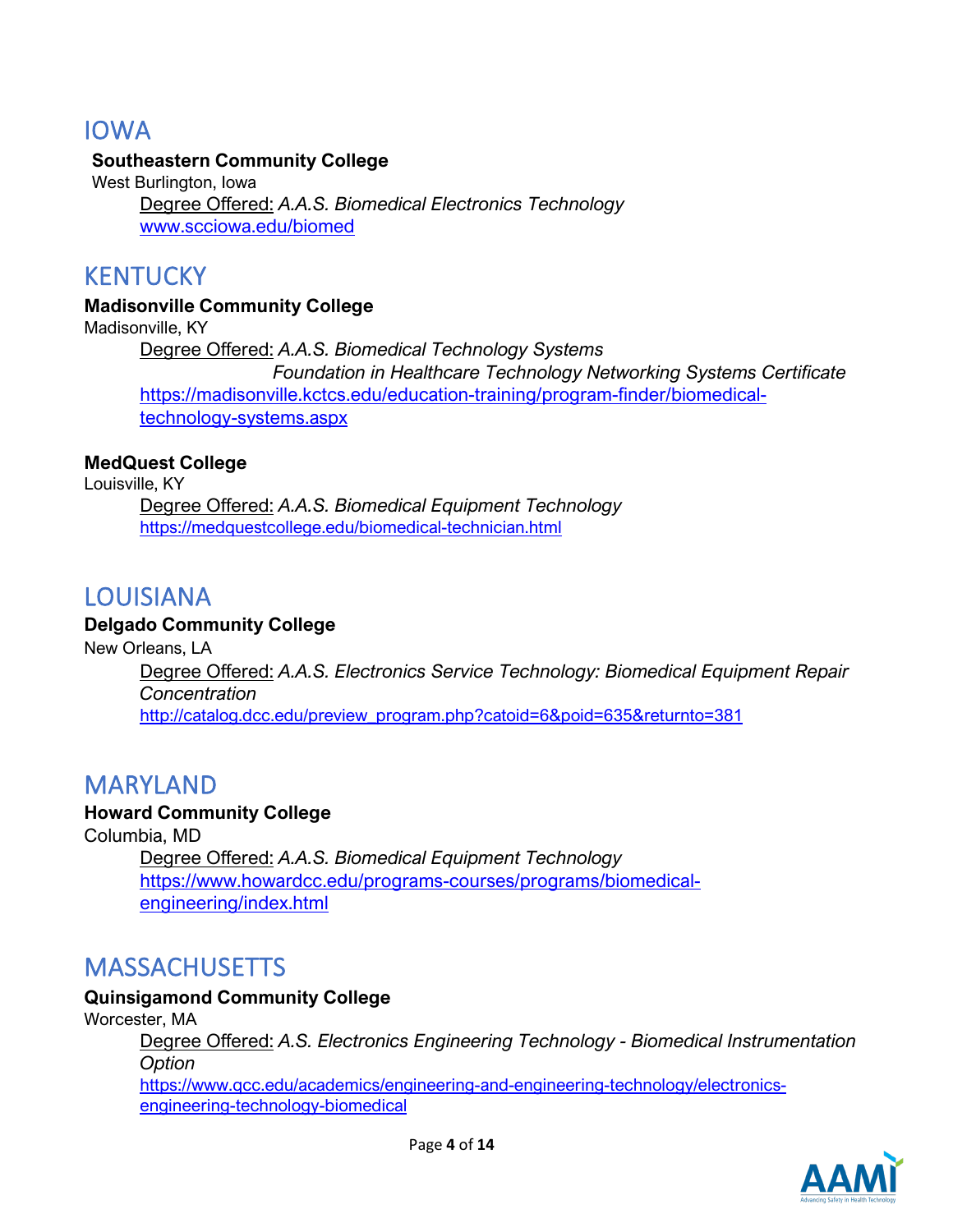## IOWA

### **Southeastern Community College**

West Burlington, Iowa Degree Offered: *A.A.S. Biomedical Electronics Technology* [www.scciowa.edu/biomed](https://urldefense.proofpoint.com/v2/url?u=http-3A__www.scciowa.edu_biomed&d=DwMFAg&c=euGZstcaTDllvimEN8b7jXrwqOf-v5A_CdpgnVfiiMM&r=uEYXl0cBdYJhFSMvrXtzmk6RRhrhkvTSX8wMYHejY-k&m=mKyv8Y2IuyXY-WmQgbHx513JiRhap9HPyZrWJZkaVfA&s=Vcp8I91H2zpgdPGyWDf16FGhdBsqDTXom-zBVabInTk&e=)

### KENTUCKY

### **Madisonville Community College**

Madisonville, KY Degree Offered: *A.A.S. Biomedical Technology Systems Foundation in Healthcare Technology Networking Systems Certificate* [https://madisonville.kctcs.edu/education-training/program-finder/biomedical](https://madisonville.kctcs.edu/education-training/program-finder/biomedical-technology-systems.aspx)[technology-systems.aspx](https://madisonville.kctcs.edu/education-training/program-finder/biomedical-technology-systems.aspx)

### **MedQuest College**

Louisville, KY

Degree Offered: *A.A.S. Biomedical Equipment Technology* <https://medquestcollege.edu/biomedical-technician.html>

### LOUISIANA

### **Delgado Community Colleg[e](http://catalog.dcc.edu/preview_program.php?catoid=6&poid=635&returnto=381)**

New Orleans, LA Degree Offered: *A.A.S. Electronics Service Technology: Biomedical Equipment Repair Concentration* [http://catalog.dcc.edu/preview\\_program.php?catoid=6&poid=635&returnto=381](http://catalog.dcc.edu/preview_program.php?catoid=6&poid=635&returnto=381)

### MARYLAND

### **Howard Community College**

Columbia, MD Degree Offered: *A.A.S. Biomedical Equipment Technology* [https://www.howardcc.edu/programs-courses/programs/biomedical](https://www.howardcc.edu/programs-courses/programs/biomedical-engineering/index.html)[engineering/index.html](https://www.howardcc.edu/programs-courses/programs/biomedical-engineering/index.html)

## **MASSACHUSETTS**

### **Quinsigamond Community College**

Worcester, MA

Degree Offered: *A.S. Electronics Engineering Technology - Biomedical Instrumentation Option* [https://www.qcc.edu/academics/engineering-and-engineering-technology/electronics-](https://www.qcc.edu/academics/engineering-and-engineering-technology/electronics-engineering-technology-biomedical)

[engineering-technology-biomedical](https://www.qcc.edu/academics/engineering-and-engineering-technology/electronics-engineering-technology-biomedical)

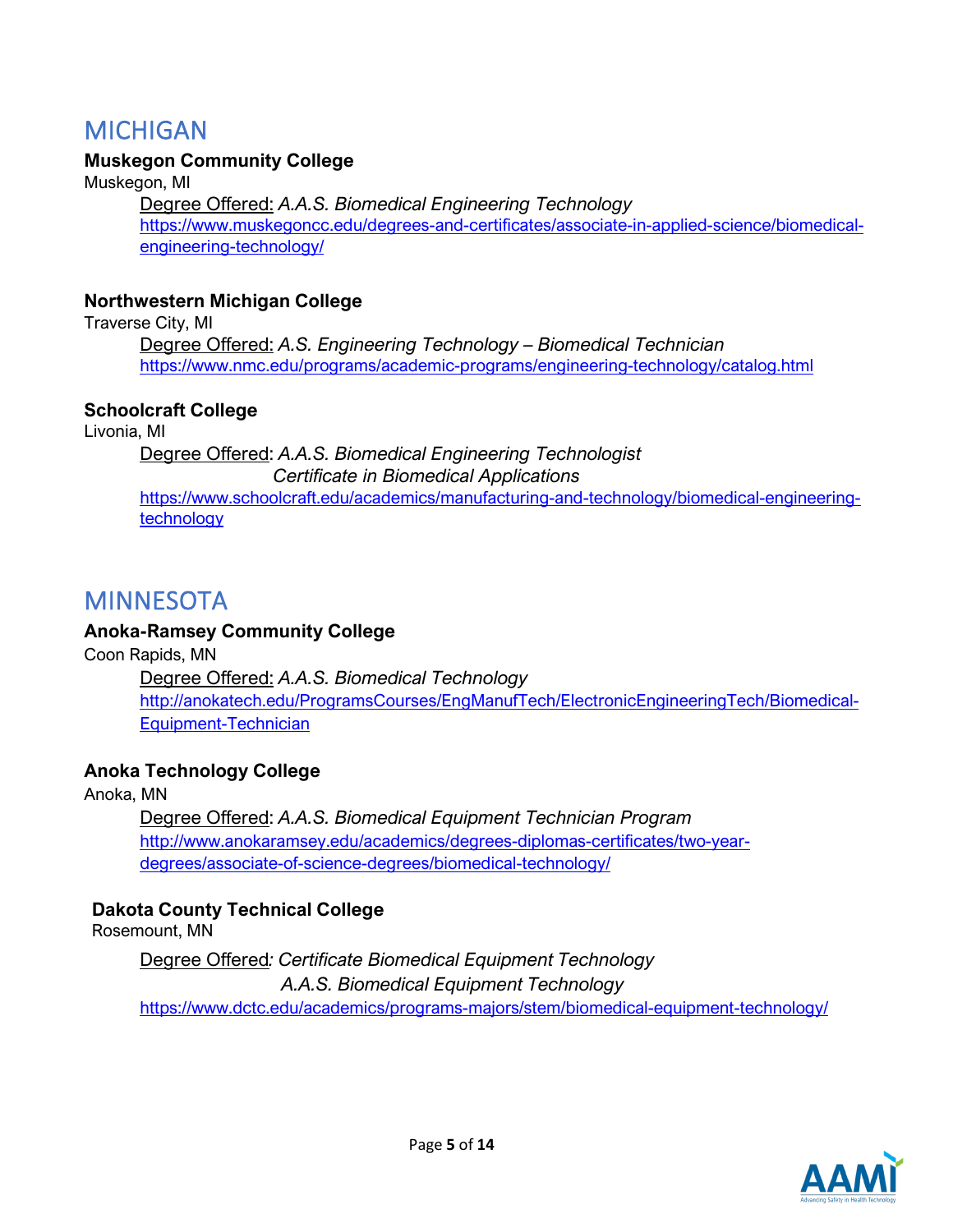## MICHIGAN

### **Muskegon Community College**

Muskegon, MI

Degree Offered: *A.A.S. Biomedical Engineering Technology* [https://www.muskegoncc.edu/degrees-and-certificates/associate-in-applied-science/biomedical](https://www.muskegoncc.edu/degrees-and-certificates/associate-in-applied-science/biomedical-engineering-technology/)[engineering-technology/](https://www.muskegoncc.edu/degrees-and-certificates/associate-in-applied-science/biomedical-engineering-technology/)

### **Northwestern Michigan College**

Traverse City, MI

Degree Offered: *A.S. Engineering Technology – Biomedical Technician* <https://www.nmc.edu/programs/academic-programs/engineering-technology/catalog.html>

### **Schoolcraft College**

Livonia, MI

Degree Offered: *A.A.S. Biomedical Engineering Technologist Certificate in Biomedical Applications* [https://www.schoolcraft.edu/academics/manufacturing-and-technology/biomedical-engineering](https://www.schoolcraft.edu/academics/manufacturing-and-technology/biomedical-engineering-technology)[technology](https://www.schoolcraft.edu/academics/manufacturing-and-technology/biomedical-engineering-technology)

## MINNESOTA

### **Anoka-Ramsey Community College**

Coon Rapids, MN

Degree Offered: *A.A.S. Biomedical Technology* [http://anokatech.edu/ProgramsCourses/EngManufTech/ElectronicEngineeringTech/Biomedical-](http://anokatech.edu/ProgramsCourses/EngManufTech/ElectronicEngineeringTech/Biomedical-Equipment-Technician)[Equipment-Technician](http://anokatech.edu/ProgramsCourses/EngManufTech/ElectronicEngineeringTech/Biomedical-Equipment-Technician)

### **Anoka Technology College**

Anoka, MN

Degree Offered: *A.A.S. Biomedical Equipment Technician Program* [http://www.anokaramsey.edu/academics/degrees-diplomas-certificates/two-year](http://www.anokaramsey.edu/academics/degrees-diplomas-certificates/two-year-degrees/associate-of-science-degrees/biomedical-technology/)[degrees/associate-of-science-degrees/biomedical-technology/](http://www.anokaramsey.edu/academics/degrees-diplomas-certificates/two-year-degrees/associate-of-science-degrees/biomedical-technology/)

### **Dakota County Technical College**

Rosemount, MN

Degree Offered*: Certificate Biomedical Equipment Technology A.A.S. Biomedical Equipment Technology* <https://www.dctc.edu/academics/programs-majors/stem/biomedical-equipment-technology/>

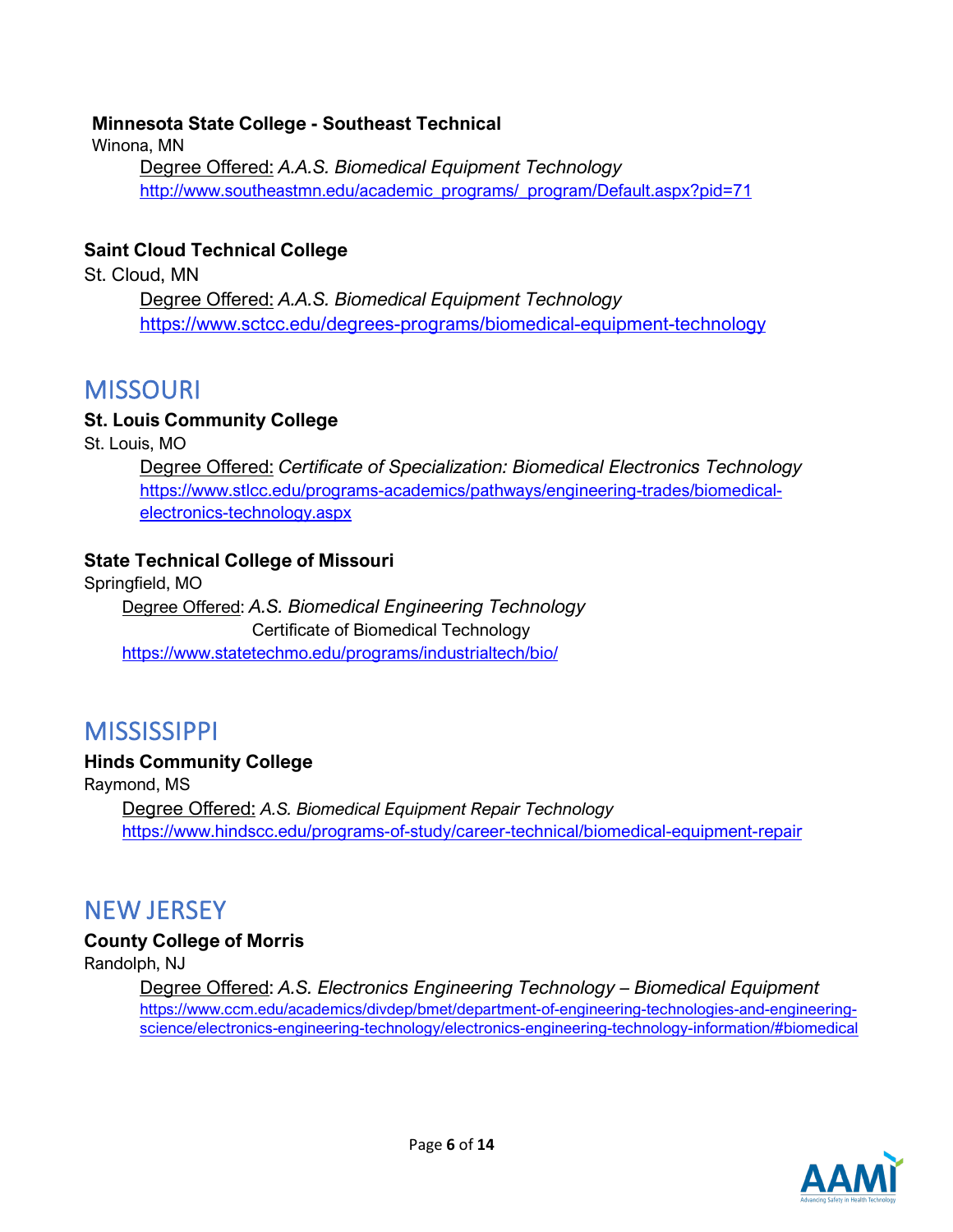### **Minnesota State College - Southeast Technical**

Winona, MN

Degree Offered: *A.A.S. Biomedical Equipment Technology* [http://www.southeastmn.edu/academic\\_programs/\\_program/Default.aspx?pid=71](http://www.southeastmn.edu/academic_programs/_program/Default.aspx?pid=71)

### **Saint Cloud Technical College**

St. Cloud, MN

Degree Offered: *A.A.S. Biomedical Equipment Technology* <https://www.sctcc.edu/degrees-programs/biomedical-equipment-technology>

## MISSOURI

### **St. Louis Community College**

St. Louis, MO

Degree Offered: *Certificate of Specialization: Biomedical Electronics Technology* [https://www.stlcc.edu/programs-academics/pathways/engineering-trades/biomedical](https://www.stlcc.edu/programs-academics/pathways/engineering-trades/biomedical-electronics-technology.aspx)[electronics-technology.aspx](https://www.stlcc.edu/programs-academics/pathways/engineering-trades/biomedical-electronics-technology.aspx)

### **State Technical College of Missouri**

Springfield, MO

Degree Offered: *A.S. Biomedical Engineering Technology* Certificate of Biomedical Technology <https://www.statetechmo.edu/programs/industrialtech/bio/>

## **MISSISSIPPI**

### **Hinds Community College**

Raymond, MS Degree Offered: *A.S. Biomedical Equipment Repair Technology* <https://www.hindscc.edu/programs-of-study/career-technical/biomedical-equipment-repair>

## NEW JERSEY

### **County College of Morris**

Randolph, NJ

Degree Offered: *A.S. Electronics Engineering Technology – Biomedical Equipment* [https://www.ccm.edu/academics/divdep/bmet/department-of-engineering-technologies-and-engineering](https://www.ccm.edu/academics/divdep/bmet/department-of-engineering-technologies-and-engineering-science/electronics-engineering-technology/electronics-engineering-technology-information/#biomedical)[science/electronics-engineering-technology/electronics-engineering-technology-information/#biomedical](https://www.ccm.edu/academics/divdep/bmet/department-of-engineering-technologies-and-engineering-science/electronics-engineering-technology/electronics-engineering-technology-information/#biomedical)

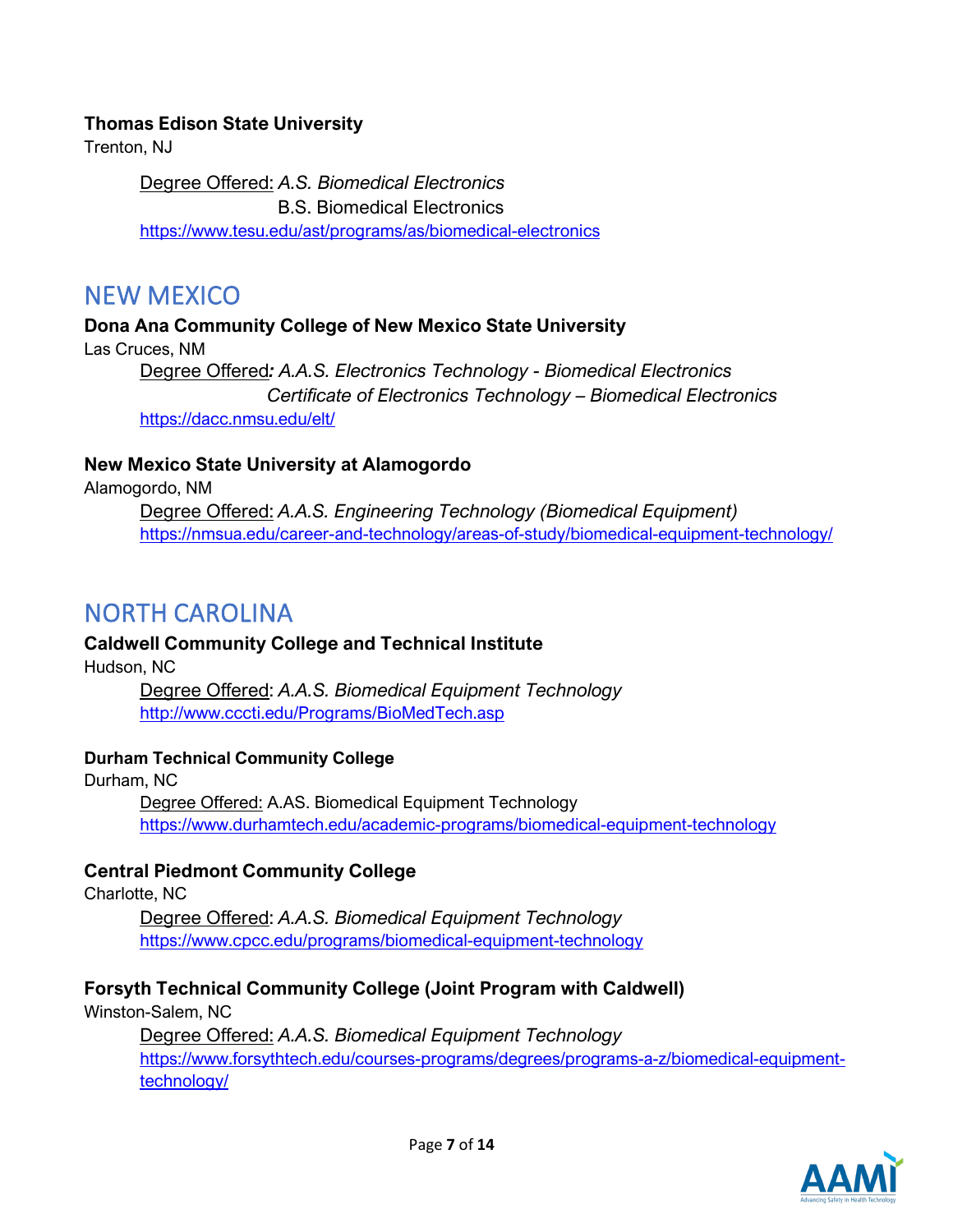### **Thomas Edison State University**

Trenton, NJ

Degree Offered: *A.S. Biomedical Electronics* B.S. Biomedical Electronics <https://www.tesu.edu/ast/programs/as/biomedical-electronics>

### NEW MEXICO

**Dona Ana Community College of New Mexico State University** Las Cruces, NM Degree Offered*: A.A.S. Electronics Technology - Biomedical Electronics Certificate of Electronics Technology – Biomedical Electronics* <https://dacc.nmsu.edu/elt/>

### **New Mexico State University at Alamogordo**

Alamogordo, NM

Degree Offered: *A.A.S. Engineering Technology (Biomedical Equipment)* <https://nmsua.edu/career-and-technology/areas-of-study/biomedical-equipment-technology/>

## NORTH CAROLINA

### **Caldwell Community College and Technical Institute**

Hudson, NC

Degree Offered: *A.A.S. Biomedical Equipment Technology* <http://www.cccti.edu/Programs/BioMedTech.asp>

### **Durham Technical Community College**

Durham, NC Degree Offered: A.AS. Biomedical Equipment Technology <https://www.durhamtech.edu/academic-programs/biomedical-equipment-technology>

### **Central Piedmont Community College**

Charlotte, NC

Degree Offered: *A.A.S. Biomedical Equipment Technology* <https://www.cpcc.edu/programs/biomedical-equipment-technology>

### **Forsyth Technical Community College (Joint Program with Caldwell)**

Winston-Salem, NC

Degree Offered: *A.A.S. Biomedical Equipment Technology* [https://www.forsythtech.edu/courses-programs/degrees/programs-a-z/biomedical-equipment](https://www.forsythtech.edu/courses-programs/degrees/programs-a-z/biomedical-equipment-technology/)[technology/](https://www.forsythtech.edu/courses-programs/degrees/programs-a-z/biomedical-equipment-technology/)

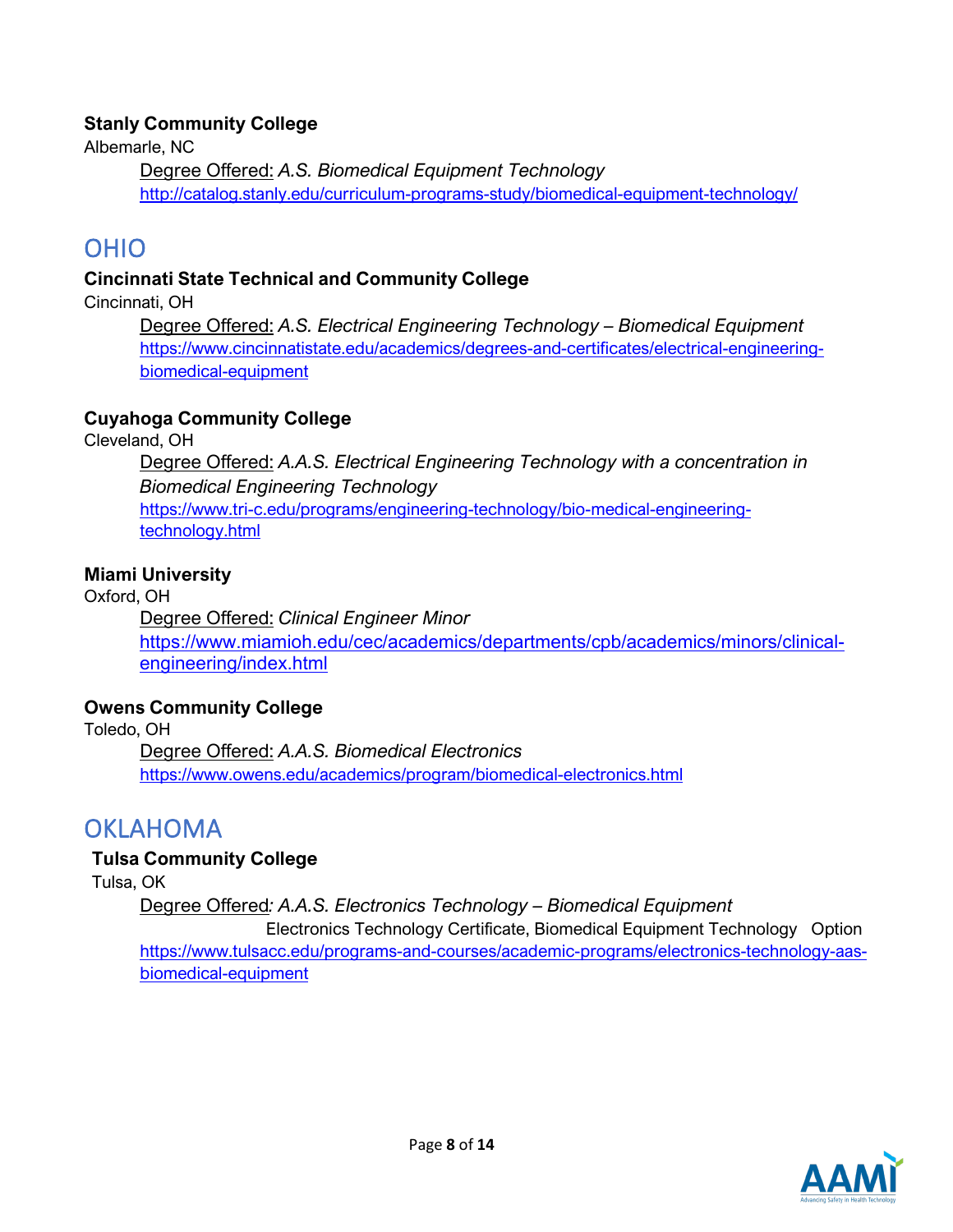### **Stanly Community College**

Albemarle, NC

Degree Offered: *A.S. Biomedical Equipment Technology* <http://catalog.stanly.edu/curriculum-programs-study/biomedical-equipment-technology/>

## OHIO

### **Cincinnati State Technical and Community College**

Cincinnati, OH

Degree Offered: *A.S. Electrical Engineering Technology – Biomedical Equipment* [https://www.cincinnatistate.edu/academics/degrees-and-certificates/electrical-engineering](https://www.cincinnatistate.edu/academics/degrees-and-certificates/electrical-engineering-biomedical-equipment)[biomedical-equipment](https://www.cincinnatistate.edu/academics/degrees-and-certificates/electrical-engineering-biomedical-equipment)

### **Cuyahoga Community College**

Cleveland, OH

Degree Offered: *A.A.S. Electrical Engineering Technology with a concentration in Biomedical Engineering Technology* [https://www.tri-c.edu/programs/engineering-technology/bio-medical-engineering](https://www.tri-c.edu/programs/engineering-technology/bio-medical-engineering-technology.html)[technology.html](https://www.tri-c.edu/programs/engineering-technology/bio-medical-engineering-technology.html)

### **Miami University**

Oxford, OH Degree Offered: *Clinical Engineer Minor* [https://www.miamioh.edu/cec/academics/departments/cpb/academics/minors/clinical](https://www.miamioh.edu/cec/academics/departments/cpb/academics/minors/clinical-engineering/index.html)[engineering/index.html](https://www.miamioh.edu/cec/academics/departments/cpb/academics/minors/clinical-engineering/index.html)

### **Owens Community College**

Toledo, OH Degree Offered: *A.A.S. Biomedical Electronics* <https://www.owens.edu/academics/program/biomedical-electronics.html>

## OKLAHOMA

### **Tulsa Community College**

Tulsa, OK

Degree Offered*: A.A.S. Electronics Technology – Biomedical Equipment*

 Electronics Technology Certificate, Biomedical Equipment Technology Option [https://www.tulsacc.edu/programs-and-courses/academic-programs/electronics-technology-aas](https://www.tulsacc.edu/programs-and-courses/academic-programs/electronics-technology-aas-biomedical-equipment)[biomedical-equipment](https://www.tulsacc.edu/programs-and-courses/academic-programs/electronics-technology-aas-biomedical-equipment)

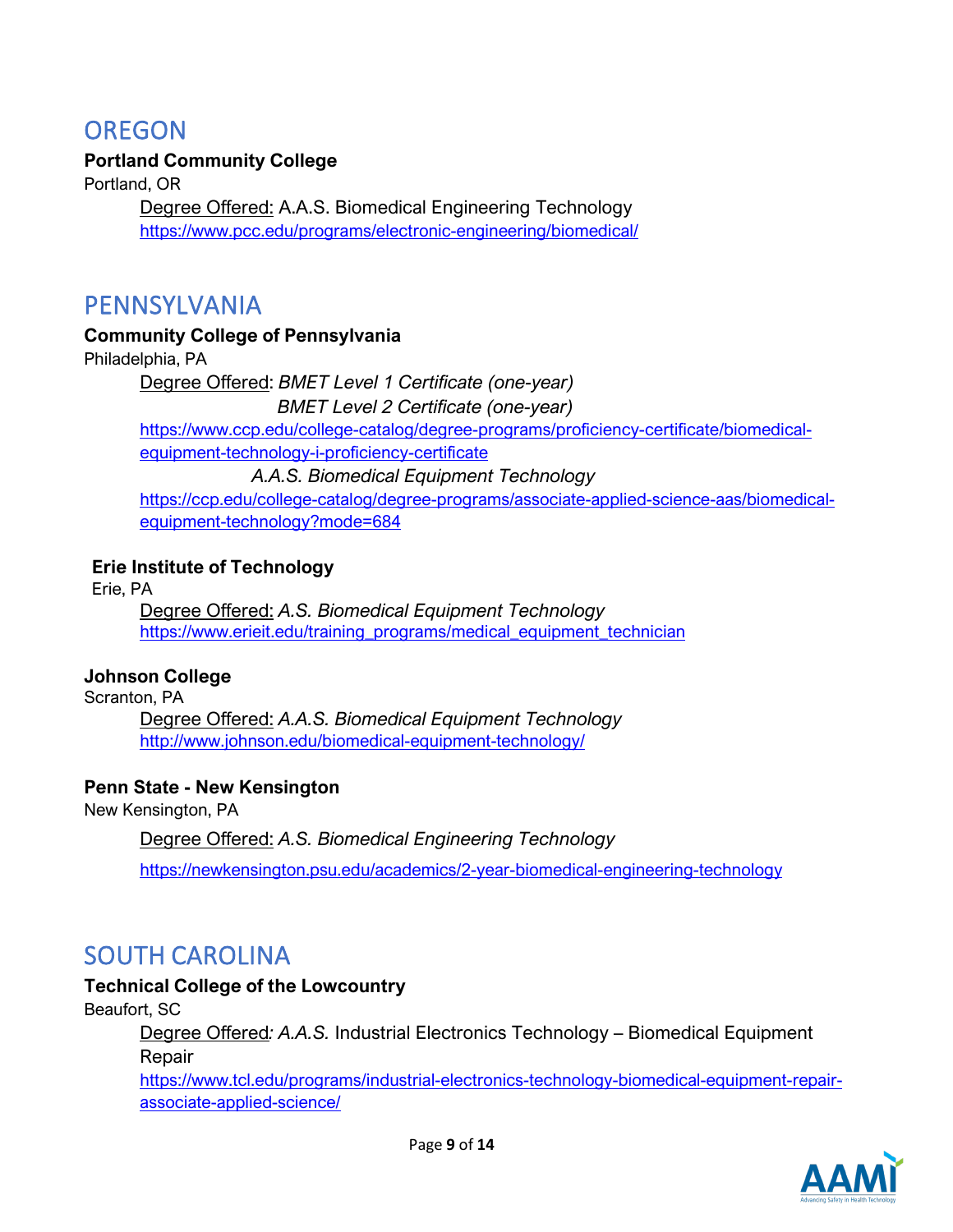## **OREGON**

### **Portland Community College**

Portland, OR Degree Offered: A.A.S. Biomedical Engineering Technology <https://www.pcc.edu/programs/electronic-engineering/biomedical/>

### PENNSYLVANIA

### **Community College of Pennsylvania**

Philadelphia, PA

Degree Offered: *BMET Level 1 Certificate (one-year)*

 *BMET Level 2 Certificate (one-year)*

[https://www.ccp.edu/college-catalog/degree-programs/proficiency-certificate/biomedical](https://www.ccp.edu/college-catalog/degree-programs/proficiency-certificate/biomedical-equipment-technology-i-proficiency-certificate)[equipment-technology-i-proficiency-certificate](https://www.ccp.edu/college-catalog/degree-programs/proficiency-certificate/biomedical-equipment-technology-i-proficiency-certificate)

*A.A.S. Biomedical Equipment Technology*

[https://ccp.edu/college-catalog/degree-programs/associate-applied-science-aas/biomedical](https://ccp.edu/college-catalog/degree-programs/associate-applied-science-aas/biomedical-equipment-technology?mode=684)[equipment-technology?mode=684](https://ccp.edu/college-catalog/degree-programs/associate-applied-science-aas/biomedical-equipment-technology?mode=684)

### **Erie Institute of Technology**

Erie, PA

Degree Offered: *A.S. Biomedical Equipment Technology* [https://www.erieit.edu/training\\_programs/medical\\_equipment\\_technician](https://www.erieit.edu/training_programs/medical_equipment_technician)

### **Johnson College**

Scranton, PA Degree Offered: *A.A.S. Biomedical Equipment Technology* <http://www.johnson.edu/biomedical-equipment-technology/>

### **Penn State - New Kensington**

New Kensington, PA

Degree Offered: *A.S. Biomedical Engineering Technology*

<https://newkensington.psu.edu/academics/2-year-biomedical-engineering-technology>

## SOUTH CAROLINA

### **Technical College of the Lowcountry**

Beaufort, SC

Degree Offered*: A.A.S.* Industrial Electronics Technology – Biomedical Equipment Repair

[https://www.tcl.edu/programs/industrial-electronics-technology-biomedical-equipment-repair](https://www.tcl.edu/programs/industrial-electronics-technology-biomedical-equipment-repair-associate-applied-science/)[associate-applied-science/](https://www.tcl.edu/programs/industrial-electronics-technology-biomedical-equipment-repair-associate-applied-science/)

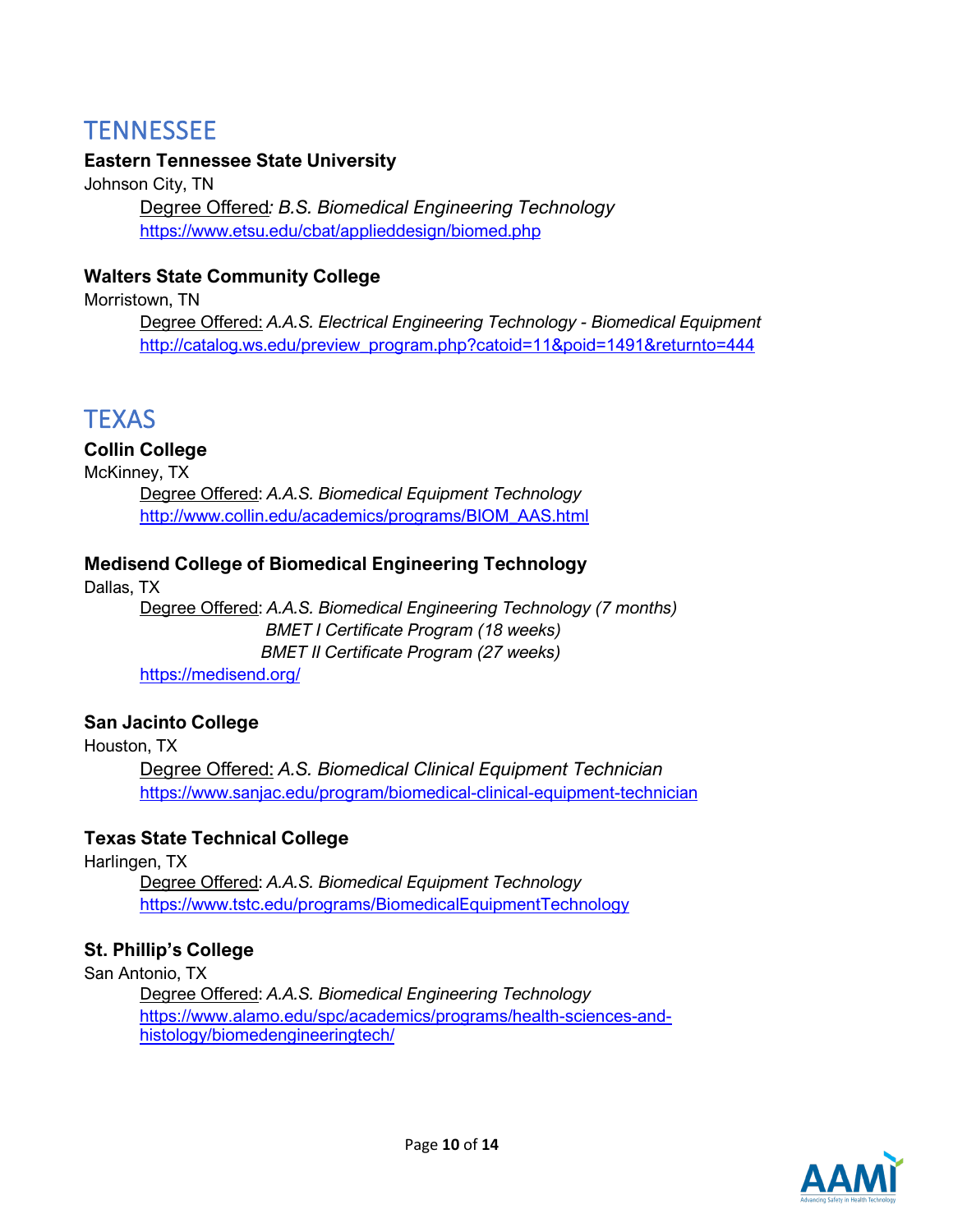## **TENNESSEE**

### **Eastern Tennessee State University**

Johnson City, TN Degree Offered*: B.S. Biomedical Engineering Technology* <https://www.etsu.edu/cbat/applieddesign/biomed.php>

### **Walters State Community College**

Morristown, TN

Degree Offered: *A.A.S. Electrical Engineering Technology - Biomedical Equipment* [http://catalog.ws.edu/preview\\_program.php?catoid=11&poid=1491&returnto=444](http://catalog.ws.edu/preview_program.php?catoid=11&poid=1491&returnto=444)

## **TEXAS**

### **Collin College**

McKinney, TX Degree Offered: *A.A.S. Biomedical Equipment Technology* [http://www.collin.edu/academics/programs/BIOM\\_AAS.html](http://www.collin.edu/academics/programs/BIOM_AAS.html)

### **Medisend College of Biomedical Engineering Technology**

Dallas, TX Degree Offered: *A.A.S. Biomedical Engineering Technology (7 months) BMET I Certificate Program (18 weeks) BMET II Certificate Program (27 weeks)* <https://medisend.org/>

### **San Jacinto College**

Houston, TX

Degree Offered: *A.S. Biomedical Clinical Equipment Technician* <https://www.sanjac.edu/program/biomedical-clinical-equipment-technician>

### **Texas State Technical College**

Harlingen, TX

Degree Offered: *A.A.S. Biomedical Equipment Technology* <https://www.tstc.edu/programs/BiomedicalEquipmentTechnology>

### **St. Phillip's College**

San Antonio, TX

Degree Offered: *A.A.S. Biomedical Engineering Technology* [https://www.alamo.edu/spc/academics/programs/health-sciences-and](https://www.alamo.edu/spc/academics/programs/health-sciences-and-histology/biomedengineeringtech/)[histology/biomedengineeringtech/](https://www.alamo.edu/spc/academics/programs/health-sciences-and-histology/biomedengineeringtech/)

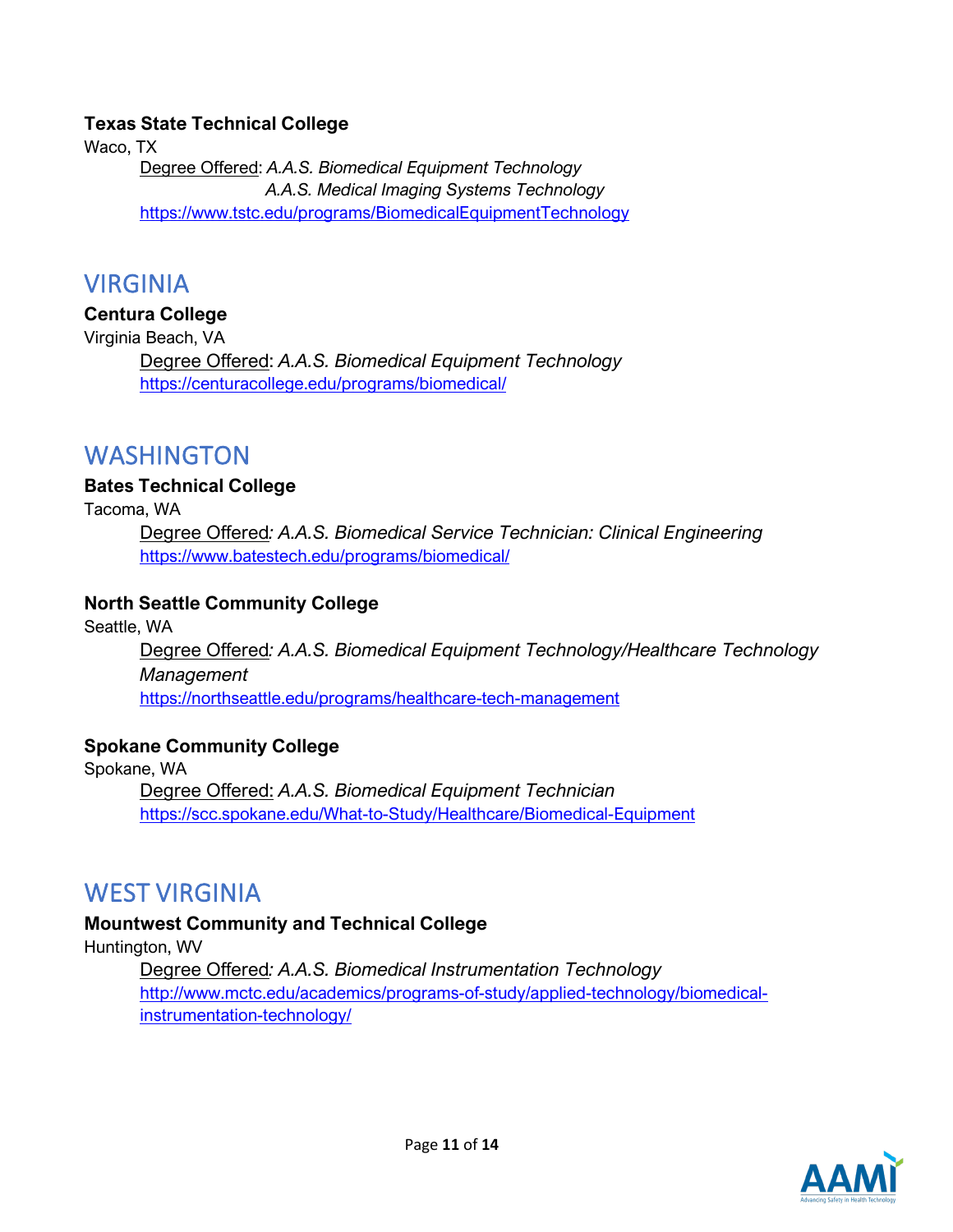### **Texas State Technical College**

Waco, TX Degree Offered: *A.A.S. Biomedical Equipment Technology A.A.S. Medical Imaging Systems Technology* <https://www.tstc.edu/programs/BiomedicalEquipmentTechnology>

### VIRGINIA

#### **Centura College**

Virginia Beach, VA

Degree Offered: *A.A.S. Biomedical Equipment Technology* <https://centuracollege.edu/programs/biomedical/>

### WASHINGTON

#### **Bates Technical College**

Tacoma, WA

Degree Offered*: A.A.S. Biomedical Service Technician: Clinical Engineering* <https://www.batestech.edu/programs/biomedical/>

### **North Seattle Community College**

Seattle, WA

Degree Offered*: A.A.S. Biomedical Equipment Technology/Healthcare Technology Management* <https://northseattle.edu/programs/healthcare-tech-management>

### **Spokane Community College**

Spokane, WA

Degree Offered: *A.A.S. Biomedical Equipment Technician* <https://scc.spokane.edu/What-to-Study/Healthcare/Biomedical-Equipment>

### WEST VIRGINIA

### **Mountwest Community and Technical College**

Huntington, WV

Degree Offered*: A.A.S. Biomedical Instrumentation Technology* [http://www.mctc.edu/academics/programs-of-study/applied-technology/biomedical](http://www.mctc.edu/academics/programs-of-study/applied-technology/biomedical-instrumentation-technology/)[instrumentation-technology/](http://www.mctc.edu/academics/programs-of-study/applied-technology/biomedical-instrumentation-technology/)

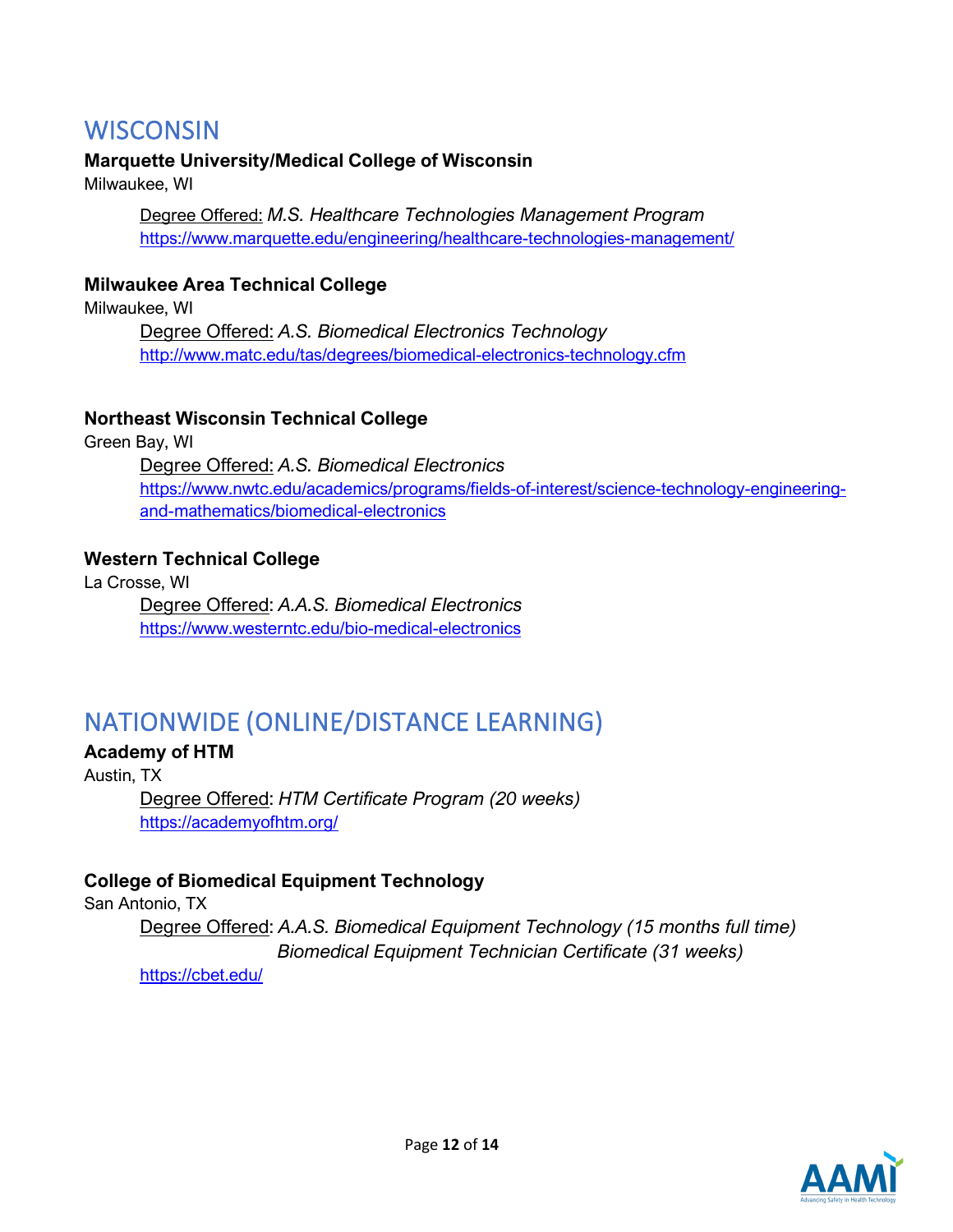## **WISCONSIN**

### **Marquette University/Medical College of Wisconsin**

Milwaukee, WI

Degree Offered: *M.S. Healthcare Technologies Management Program* <https://www.marquette.edu/engineering/healthcare-technologies-management/>

### **Milwaukee Area Technical College**

Milwaukee, WI

Degree Offered: *A.S. Biomedical Electronics Technology* <http://www.matc.edu/tas/degrees/biomedical-electronics-technology.cfm>

### **Northeast Wisconsin Technical College**

Green Bay, WI Degree Offered: *A.S. Biomedical Electronics* [https://www.nwtc.edu/academics/programs/fields-of-interest/science-technology-engineering](https://www.nwtc.edu/academics/programs/fields-of-interest/science-technology-engineering-and-mathematics/biomedical-electronics)[and-mathematics/biomedical-electronics](https://www.nwtc.edu/academics/programs/fields-of-interest/science-technology-engineering-and-mathematics/biomedical-electronics)

### **Western Technical College**

La Crosse, WI Degree Offered: *A.A.S. Biomedical Electronics* <https://www.westerntc.edu/bio-medical-electronics>

## NATIONWIDE (ONLINE/DISTANCE LEARNING)

### **Academy of HTM**

Austin, TX Degree Offered: *HTM Certificate Program (20 weeks)* <https://academyofhtm.org/>

### **College of Biomedical Equipment Technology**

San Antonio, TX Degree Offered: *A.A.S. Biomedical Equipment Technology (15 months full time) Biomedical Equipment Technician Certificate (31 weeks)*

<https://cbet.edu/>

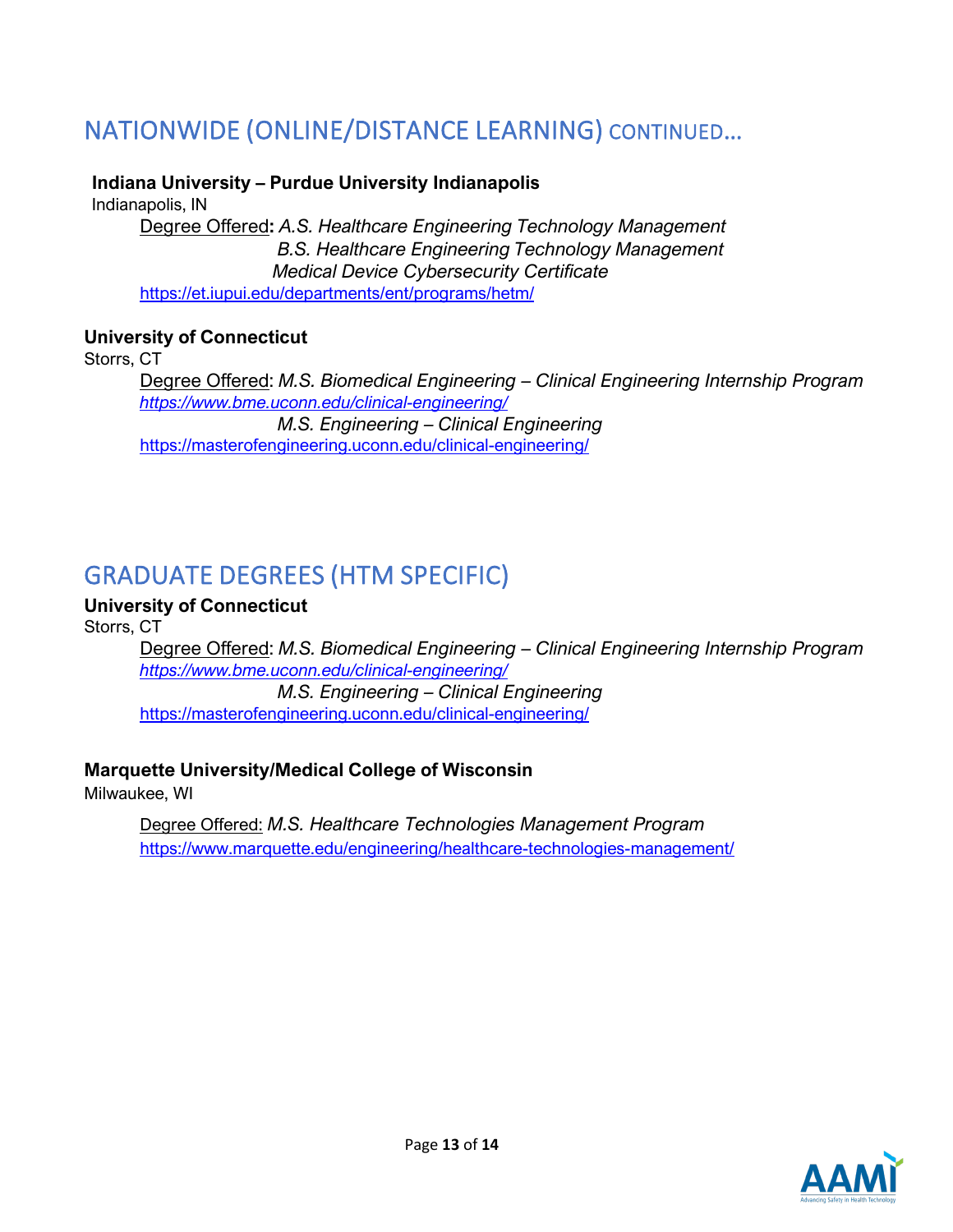## NATIONWIDE (ONLINE/DISTANCE LEARNING) CONTINUED…

### **Indiana University – Purdue University Indianapolis**

Indianapolis, IN

Degree Offered**:** *A.S. Healthcare Engineering Technology Management B.S. Healthcare Engineering Technology Management Medical Device Cybersecurity Certificate* <https://et.iupui.edu/departments/ent/programs/hetm/>

### **University of Connecticut**

Storrs, CT

Degree Offered: *M.S. Biomedical Engineering – Clinical Engineering Internship Program <https://www.bme.uconn.edu/clinical-engineering/> M.S. Engineering – Clinical Engineering*  <https://masterofengineering.uconn.edu/clinical-engineering/>

## GRADUATE DEGREES (HTM SPECIFIC)

### **University of Connecticut**

Storrs, CT

Degree Offered: *M.S. Biomedical Engineering – Clinical Engineering Internship Program <https://www.bme.uconn.edu/clinical-engineering/> M.S. Engineering – Clinical Engineering*  <https://masterofengineering.uconn.edu/clinical-engineering/>

### **Marquette University/Medical College of Wisconsin**

Milwaukee, WI

Degree Offered: *M.S. Healthcare Technologies Management Program* <https://www.marquette.edu/engineering/healthcare-technologies-management/>